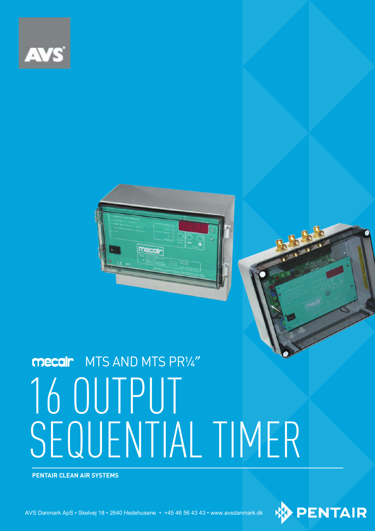



# 16 OUTPUT SEQUENTIAL TIMER **MECAIL** MTS AND MTS PR1/4"

**PENTAIR CLEAN AIR SYSTEMS**

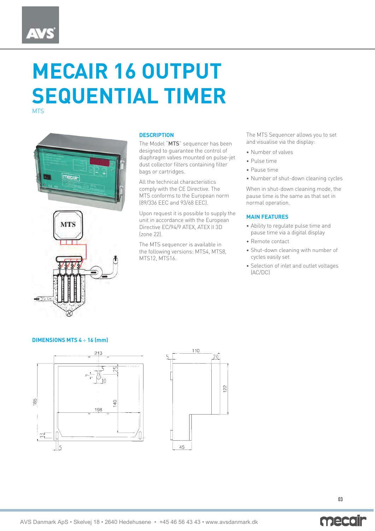### **MECAIR 16 OUTPUT SEQUENTIAL TIMER MTS**



#### **DESCRIPTION**

The Model "MTS" sequencer has been designed to guarantee the control of diaphragm valves mounted on pulse-jet dust collector filters containing filter bags or cartridges.

All the technical characteristics comply with the CE Directive. The MTS conforms to the European norm (89/336 EEC and 93/68 EEC).

Upon request it is possible to supply the unit in accordance with the European Directive EC/94/9 ATEX, ATEX II 3D (zone 22).

The MTS sequencer is available in the following versions: MTS4, MTS8, MTS12, MTS16.

The MTS Sequencer allows you to set and visualise via the display:

- Number of valves
- Pulse time
- Pause time
- Number of shut-down cleaning cycles

When in shut-down cleaning mode, the pause time is the same as that set in normal operation.

#### **MAIN FEATURES**

- Ability to regulate pulse time and pause time via a digital display
- Remote contact
- Shut-down cleaning with number of cycles easily set
- Selection of inlet and outlet voltages (AC/DC)

#### **DIMENSIONS MTS 4** ÷ **16 (mm)**





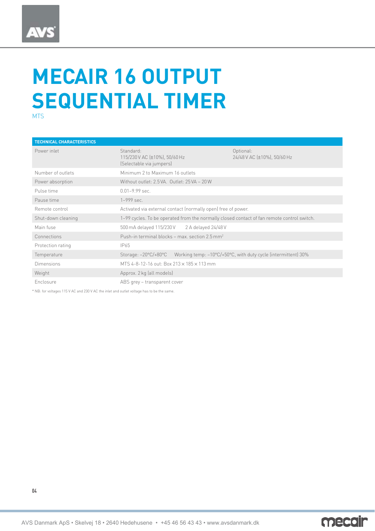### **MECAIR 16 OUTPUT SEQUENTIAL TIMER** MTS

| <b>TECHNICAL CHARACTERISTICS</b> |                                                                                                                        |                                          |  |
|----------------------------------|------------------------------------------------------------------------------------------------------------------------|------------------------------------------|--|
| Power inlet                      | Standard:<br>115/230 V AC (±10%), 50/60 Hz<br>(Selectable via jumpers)                                                 | Optional:<br>24/48 V AC [±10%], 50/60 Hz |  |
| Number of outlets                | Minimum 2 to Maximum 16 outlets                                                                                        |                                          |  |
| Power absorption                 | Without outlet: 2.5 VA. Outlet: 25 VA - 20 W                                                                           |                                          |  |
| Pulse time                       | $0.01 - 9.99$ sec.                                                                                                     |                                          |  |
| Pause time                       | $1 - 999$ sec.                                                                                                         |                                          |  |
| Remote control                   | Activated via external contact (normally open) free of power.                                                          |                                          |  |
| Shut-down cleaning               | 1-99 cycles. To be operated from the normally closed contact of fan remote control switch.                             |                                          |  |
| Main fuse                        | 500 mA delayed 115/230 V<br>2 A delayed 24/48 V                                                                        |                                          |  |
| Connections                      | Push-in terminal blocks – max. section $2.5 \text{ mm}^2$                                                              |                                          |  |
| Protection rating                | IP65                                                                                                                   |                                          |  |
| Temperature                      | Storage: $-20\degree C/+80\degree C$<br>Working temp: $-10^{\circ}C/+50^{\circ}C$ , with duty cycle (intermittent) 30% |                                          |  |
| <b>Dimensions</b>                | MTS 4-8-12-16 out: Box $213 \times 185 \times 113$ mm                                                                  |                                          |  |
| Weight                           | Approx. 2 kg (all models)                                                                                              |                                          |  |
| Enclosure                        | ABS grey – transparent cover                                                                                           |                                          |  |

\* NB: for voltages 115 V AC and 230 V AC the inlet and outlet voltage has to be the same.



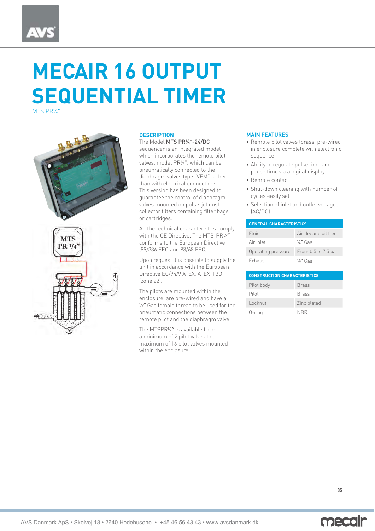# **MECAIR 16 OUTPUT SEQUENTIAL TIMER**

MTS PR¼″





#### **DESCRIPTION**

#### The Model MTS PR¼″-24/DC

sequencer is an integrated model which incorporates the remote pilot valves, model PR¼″, which can be pneumatically connected to the diaphragm valves type "VEM" rather than with electrical connections. This version has been designed to guarantee the control of diaphragm valves mounted on pulse-jet dust collector filters containing filter bags or cartridges.

All the technical characteristics comply with the CE Directive. The MTS-PR¼″ conforms to the European Directive (89/336 EEC and 93/68 EEC).

Upon request it is possible to supply the unit in accordance with the European Directive EC/94/9 ATEX, ATEX II 3D (zone 22).

The pilots are mounted within the enclosure, are pre-wired and have a ¼″ Gas female thread to be used for the pneumatic connections between the remote pilot and the diaphragm valve.

The MTSPR¼″ is available from a minimum of 2 pilot valves to a maximum of 16 pilot valves mounted within the enclosure.

#### **MAIN FEATURES**

- Remote pilot valves (brass) pre-wired in enclosure complete with electronic sequencer
- Ability to regulate pulse time and pause time via a digital display
- Remote contact
- Shut-down cleaning with number of cycles easily set
- Selection of inlet and outlet voltages (AC/DC)

| <b>GENERAL CHARACTERISTICS</b> |                      |  |  |
|--------------------------------|----------------------|--|--|
| Fluid                          | Air dry and oil free |  |  |
| Air inlet                      | $\frac{1}{4}$ Gas    |  |  |
| Operating pressure             | From 0.5 to 7.5 bar  |  |  |
| Exhaust                        | $\frac{1}{8}$ Gas    |  |  |

| <b>CONSTRUCTION CHARACTERISTICS</b> |              |  |
|-------------------------------------|--------------|--|
| Pilot body                          | <b>Brass</b> |  |
| Pilot                               | <b>Brass</b> |  |
| Locknut                             | Zinc plated  |  |
| $0$ -ring                           | <b>NBR</b>   |  |

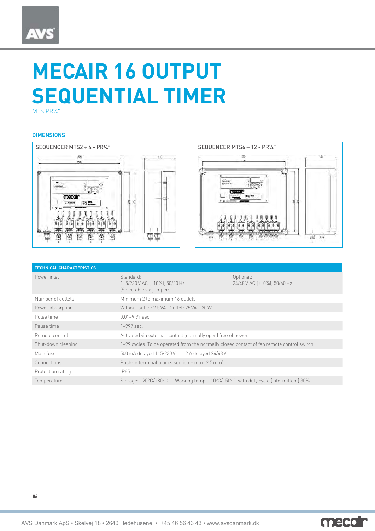## **AVS**

# **MECAIR 16 OUTPUT SEQUENTIAL TIMER**

MTS PR¼″

#### **DIMENSIONS**



| <b>TECHNICAL CHARACTERISTICS</b> |                                                                                            |                                                                                    |  |
|----------------------------------|--------------------------------------------------------------------------------------------|------------------------------------------------------------------------------------|--|
| Power inlet                      | Standard:<br>115/230 V AC (±10%), 50/60 Hz<br>(Selectable via jumpers)                     | Optional:<br>24/48 V AC (±10%), 50/60 Hz                                           |  |
| Number of outlets                | Minimum 2 to maximum 16 outlets                                                            |                                                                                    |  |
| Power absorption                 | Without outlet: 2.5 VA. Outlet: 25 VA - 20 W                                               |                                                                                    |  |
| Pulse time                       | $0.01 - 9.99$ sec.                                                                         |                                                                                    |  |
| Pause time                       | $1 - 999$ sec.                                                                             |                                                                                    |  |
| Remote control                   | Activated via external contact (normally open) free of power.                              |                                                                                    |  |
| Shut-down cleaning               | 1-99 cycles. To be operated from the normally closed contact of fan remote control switch. |                                                                                    |  |
| Main fuse                        | 500 mA delayed 115/230 V<br>2 A delayed 24/48 V                                            |                                                                                    |  |
| Connections                      | Push-in terminal blocks section – max. $2.5 \text{ mm}^2$                                  |                                                                                    |  |
| Protection rating                | IP65                                                                                       |                                                                                    |  |
| Temperature                      | Storage: $-20^{\circ}$ C/+80 $^{\circ}$ C                                                  | Working temp: $-10^{\circ}$ C/+50 $^{\circ}$ C, with duty cycle (intermittent) 30% |  |